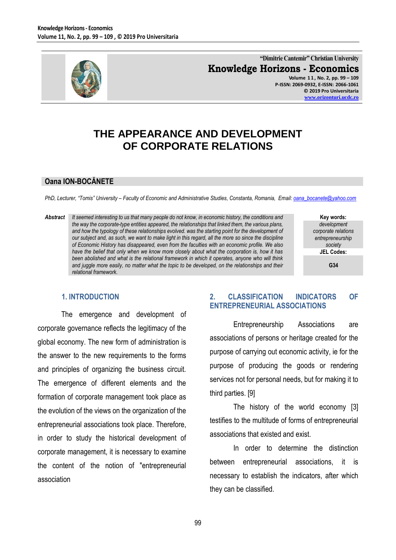

**"Dimitrie Cantemir" Christian University Knowledge Horizons - Economics Volume 1 1 , No. 2, pp. 99 – 109 P-ISSN: 2069-0932, E-ISSN: 2066-1061**

**© 2019 Pro Universitaria [www.orizonturi.ucdc.ro](http://www.orizonturi.ucdc.ro/)**

# **THE APPEARANCE AND DEVELOPMENT OF CORPORATE RELATIONS**

#### **Oana ION-BOCĂNETE**

*PhD, Lecturer, "Tomis" University – Faculty of Economic and Administrative Studies, Constanta, Romania, Email: oana\_bocanete@yahoo.com*

*Abstract It seemed interesting to us that many people do not know, in economic history, the conditions and the way the corporate-type entities appeared, the relationships that linked them, the various plans, and how the typology of these relationships evolved. was the starting point for the development of our subject and, as such, we want to make light in this regard, all the more so since the discipline of Economic History has disappeared, even from the faculties with an economic profile. We also have the belief that only when we know more closely about what the corporation is, how it has been abolished and what is the relational framework in which it operates, anyone who will think and juggle more easily, no matter what the topic to be developed, on the relationships and their relational framework.*

**Key words:** *development corporate relations entrepreneurship society* **JEL Codes:**

**G34**

## **1. INTRODUCTION**

The emergence and development of corporate governance reflects the legitimacy of the global economy. The new form of administration is the answer to the new requirements to the forms and principles of organizing the business circuit. The emergence of different elements and the formation of corporate management took place as the evolution of the views on the organization of the entrepreneurial associations took place. Therefore, in order to study the historical development of corporate management, it is necessary to examine the content of the notion of "entrepreneurial association

#### **2. CLASSIFICATION INDICATORS OF ENTREPRENEURIAL ASSOCIATIONS**

Entrepreneurship Associations are associations of persons or heritage created for the purpose of carrying out economic activity, ie for the purpose of producing the goods or rendering services not for personal needs, but for making it to third parties. [9]

The history of the world economy [3] testifies to the multitude of forms of entrepreneurial associations that existed and exist.

In order to determine the distinction between entrepreneurial associations, it is necessary to establish the indicators, after which they can be classified.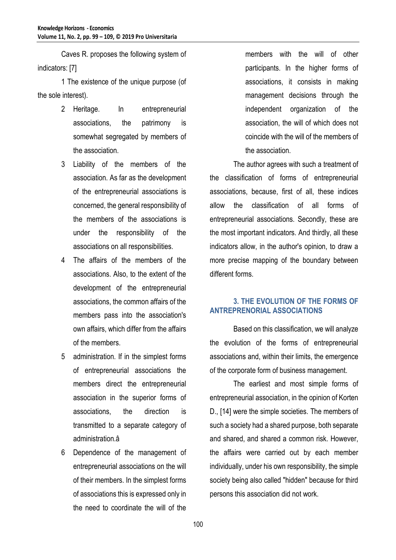Caves R. proposes the following system of indicators: [7]

1 The existence of the unique purpose (of the sole interest).

- 2 Heritage. In entrepreneurial associations, the patrimony is somewhat segregated by members of the association.
- 3 Liability of the members of the association. As far as the development of the entrepreneurial associations is concerned, the general responsibility of the members of the associations is under the responsibility of the associations on all responsibilities.
- 4 The affairs of the members of the associations. Also, to the extent of the development of the entrepreneurial associations, the common affairs of the members pass into the association's own affairs, which differ from the affairs of the members.
- 5 administration. If in the simplest forms of entrepreneurial associations the members direct the entrepreneurial association in the superior forms of associations, the direction is transmitted to a separate category of administration.â
- 6 Dependence of the management of entrepreneurial associations on the will of their members. In the simplest forms of associations this is expressed only in the need to coordinate the will of the

members with the will of other participants. In the higher forms of associations, it consists in making management decisions through the independent organization of the association, the will of which does not coincide with the will of the members of the association.

The author agrees with such a treatment of the classification of forms of entrepreneurial associations, because, first of all, these indices allow the classification of all forms of entrepreneurial associations. Secondly, these are the most important indicators. And thirdly, all these indicators allow, in the author's opinion, to draw a more precise mapping of the boundary between different forms.

# **3. THE EVOLUTION OF THE FORMS OF ANTREPRENORIAL ASSOCIATIONS**

Based on this classification, we will analyze the evolution of the forms of entrepreneurial associations and, within their limits, the emergence of the corporate form of business management.

The earliest and most simple forms of entrepreneurial association, in the opinion of Korten D., [14] were the simple societies. The members of such a society had a shared purpose, both separate and shared, and shared a common risk. However, the affairs were carried out by each member individually, under his own responsibility, the simple society being also called "hidden" because for third persons this association did not work.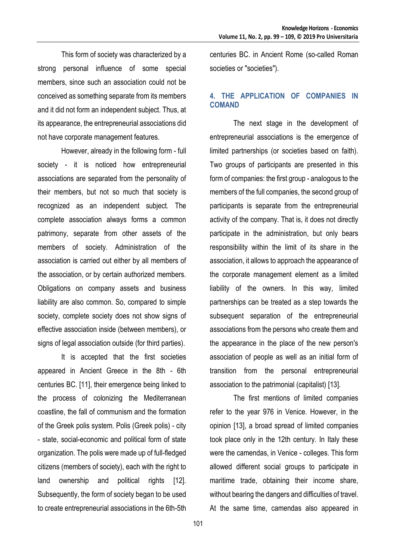This form of society was characterized by a strong personal influence of some special members, since such an association could not be conceived as something separate from its members and it did not form an independent subject. Thus, at its appearance, the entrepreneurial associations did not have corporate management features.

However, already in the following form - full society - it is noticed how entrepreneurial associations are separated from the personality of their members, but not so much that society is recognized as an independent subject. The complete association always forms a common patrimony, separate from other assets of the members of society. Administration of the association is carried out either by all members of the association, or by certain authorized members. Obligations on company assets and business liability are also common. So, compared to simple society, complete society does not show signs of effective association inside (between members), or signs of legal association outside (for third parties).

It is accepted that the first societies appeared in Ancient Greece in the 8th - 6th centuries BC. [11], their emergence being linked to the process of colonizing the Mediterranean coastline, the fall of communism and the formation of the Greek polis system. Polis (Greek polis) - city - state, social-economic and political form of state organization. The polis were made up of full-fledged citizens (members of society), each with the right to land ownership and political rights [12]. Subsequently, the form of society began to be used to create entrepreneurial associations in the 6th-5th centuries BC. in Ancient Rome (so-called Roman societies or "societies").

# **4. THE APPLICATION OF COMPANIES IN COMAND**

The next stage in the development of entrepreneurial associations is the emergence of limited partnerships (or societies based on faith). Two groups of participants are presented in this form of companies: the first group - analogous to the members of the full companies, the second group of participants is separate from the entrepreneurial activity of the company. That is, it does not directly participate in the administration, but only bears responsibility within the limit of its share in the association, it allows to approach the appearance of the corporate management element as a limited liability of the owners. In this way, limited partnerships can be treated as a step towards the subsequent separation of the entrepreneurial associations from the persons who create them and the appearance in the place of the new person's association of people as well as an initial form of transition from the personal entrepreneurial association to the patrimonial (capitalist) [13].

The first mentions of limited companies refer to the year 976 in Venice. However, in the opinion [13], a broad spread of limited companies took place only in the 12th century. In Italy these were the camendas, in Venice - colleges. This form allowed different social groups to participate in maritime trade, obtaining their income share, without bearing the dangers and difficulties of travel. At the same time, camendas also appeared in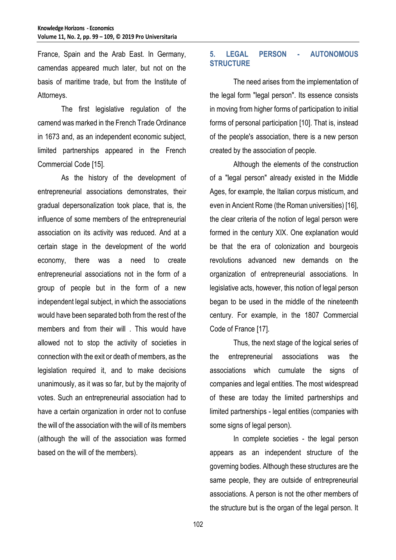France, Spain and the Arab East. In Germany, camendas appeared much later, but not on the basis of maritime trade, but from the Institute of Attorneys.

The first legislative regulation of the camend was marked in the French Trade Ordinance in 1673 and, as an independent economic subject, limited partnerships appeared in the French Commercial Code [15].

As the history of the development of entrepreneurial associations demonstrates, their gradual depersonalization took place, that is, the influence of some members of the entrepreneurial association on its activity was reduced. And at a certain stage in the development of the world economy, there was a need to create entrepreneurial associations not in the form of a group of people but in the form of a new independent legal subject, in which the associations would have been separated both from the rest of the members and from their will . This would have allowed not to stop the activity of societies in connection with the exit or death of members, as the legislation required it, and to make decisions unanimously, as it was so far, but by the majority of votes. Such an entrepreneurial association had to have a certain organization in order not to confuse the will of the association with the will of its members (although the will of the association was formed based on the will of the members).

## **5. LEGAL PERSON - AUTONOMOUS STRUCTURE**

The need arises from the implementation of the legal form "legal person". Its essence consists in moving from higher forms of participation to initial forms of personal participation [10]. That is, instead of the people's association, there is a new person created by the association of people.

Although the elements of the construction of a "legal person" already existed in the Middle Ages, for example, the Italian corpus misticum, and even in Ancient Rome (the Roman universities) [16], the clear criteria of the notion of legal person were formed in the century XIX. One explanation would be that the era of colonization and bourgeois revolutions advanced new demands on the organization of entrepreneurial associations. In legislative acts, however, this notion of legal person began to be used in the middle of the nineteenth century. For example, in the 1807 Commercial Code of France [17].

Thus, the next stage of the logical series of the entrepreneurial associations was the associations which cumulate the signs of companies and legal entities. The most widespread of these are today the limited partnerships and limited partnerships - legal entities (companies with some signs of legal person).

In complete societies - the legal person appears as an independent structure of the governing bodies. Although these structures are the same people, they are outside of entrepreneurial associations. A person is not the other members of the structure but is the organ of the legal person. It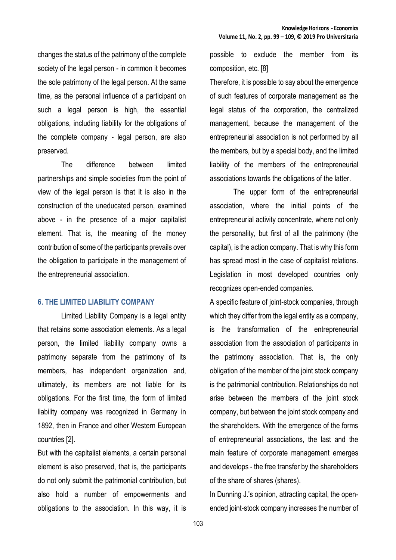changes the status of the patrimony of the complete society of the legal person - in common it becomes the sole patrimony of the legal person. At the same time, as the personal influence of a participant on such a legal person is high, the essential obligations, including liability for the obligations of the complete company - legal person, are also preserved.

The difference between limited partnerships and simple societies from the point of view of the legal person is that it is also in the construction of the uneducated person, examined above - in the presence of a major capitalist element. That is, the meaning of the money contribution of some of the participants prevails over the obligation to participate in the management of the entrepreneurial association.

## **6. THE LIMITED LIABILITY COMPANY**

Limited Liability Company is a legal entity that retains some association elements. As a legal person, the limited liability company owns a patrimony separate from the patrimony of its members, has independent organization and, ultimately, its members are not liable for its obligations. For the first time, the form of limited liability company was recognized in Germany in 1892, then in France and other Western European countries [2].

But with the capitalist elements, a certain personal element is also preserved, that is, the participants do not only submit the patrimonial contribution, but also hold a number of empowerments and obligations to the association. In this way, it is possible to exclude the member from its composition, etc. [8]

Therefore, it is possible to say about the emergence of such features of corporate management as the legal status of the corporation, the centralized management, because the management of the entrepreneurial association is not performed by all the members, but by a special body, and the limited liability of the members of the entrepreneurial associations towards the obligations of the latter.

The upper form of the entrepreneurial association, where the initial points of the entrepreneurial activity concentrate, where not only the personality, but first of all the patrimony (the capital), is the action company. That is why this form has spread most in the case of capitalist relations. Legislation in most developed countries only recognizes open-ended companies.

A specific feature of joint-stock companies, through which they differ from the legal entity as a company, is the transformation of the entrepreneurial association from the association of participants in the patrimony association. That is, the only obligation of the member of the joint stock company is the patrimonial contribution. Relationships do not arise between the members of the joint stock company, but between the joint stock company and the shareholders. With the emergence of the forms of entrepreneurial associations, the last and the main feature of corporate management emerges and develops - the free transfer by the shareholders of the share of shares (shares).

In Dunning J.'s opinion, attracting capital, the openended joint-stock company increases the number of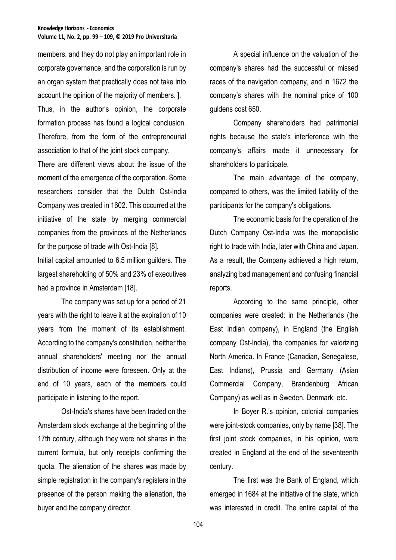members, and they do not play an important role in corporate governance, and the corporation is run by an organ system that practically does not take into account the opinion of the majority of members. ].

Thus, in the author's opinion, the corporate formation process has found a logical conclusion. Therefore, from the form of the entrepreneurial association to that of the joint stock company.

There are different views about the issue of the moment of the emergence of the corporation. Some researchers consider that the Dutch Ost-India Company was created in 1602. This occurred at the initiative of the state by merging commercial companies from the provinces of the Netherlands for the purpose of trade with Ost-India [8].

Initial capital amounted to 6.5 million guilders. The largest shareholding of 50% and 23% of executives had a province in Amsterdam [18].

The company was set up for a period of 21 years with the right to leave it at the expiration of 10 years from the moment of its establishment. According to the company's constitution, neither the annual shareholders' meeting nor the annual distribution of income were foreseen. Only at the end of 10 years, each of the members could participate in listening to the report.

Ost-India's shares have been traded on the Amsterdam stock exchange at the beginning of the 17th century, although they were not shares in the current formula, but only receipts confirming the quota. The alienation of the shares was made by simple registration in the company's registers in the presence of the person making the alienation, the buyer and the company director.

A special influence on the valuation of the company's shares had the successful or missed races of the navigation company, and in 1672 the company's shares with the nominal price of 100 guldens cost 650.

Company shareholders had patrimonial rights because the state's interference with the company's affairs made it unnecessary for shareholders to participate.

The main advantage of the company, compared to others, was the limited liability of the participants for the company's obligations.

The economic basis for the operation of the Dutch Company Ost-India was the monopolistic right to trade with India, later with China and Japan. As a result, the Company achieved a high return, analyzing bad management and confusing financial reports.

According to the same principle, other companies were created: in the Netherlands (the East Indian company), in England (the English company Ost-India), the companies for valorizing North America. In France (Canadian, Senegalese, East Indians), Prussia and Germany (Asian Commercial Company, Brandenburg African Company) as well as in Sweden, Denmark, etc.

In Boyer R.'s opinion, colonial companies were joint-stock companies, only by name [38]. The first joint stock companies, in his opinion, were created in England at the end of the seventeenth century.

The first was the Bank of England, which emerged in 1684 at the initiative of the state, which was interested in credit. The entire capital of the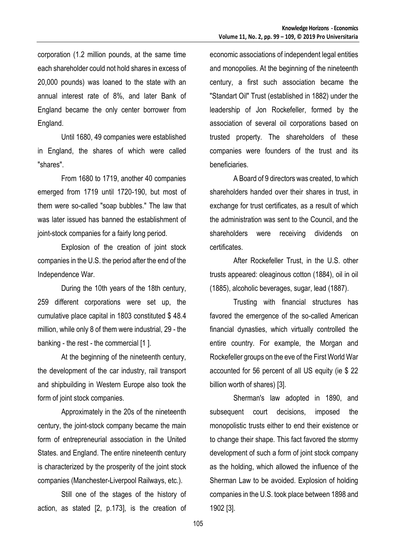corporation (1.2 million pounds, at the same time each shareholder could not hold shares in excess of 20,000 pounds) was loaned to the state with an annual interest rate of 8%, and later Bank of England became the only center borrower from England.

Until 1680, 49 companies were established in England, the shares of which were called "shares".

From 1680 to 1719, another 40 companies emerged from 1719 until 1720-190, but most of them were so-called "soap bubbles." The law that was later issued has banned the establishment of joint-stock companies for a fairly long period.

Explosion of the creation of joint stock companies in the U.S. the period after the end of the Independence War.

During the 10th years of the 18th century, 259 different corporations were set up, the cumulative place capital in 1803 constituted \$ 48.4 million, while only 8 of them were industrial, 29 - the banking - the rest - the commercial [1 ].

At the beginning of the nineteenth century, the development of the car industry, rail transport and shipbuilding in Western Europe also took the form of joint stock companies.

Approximately in the 20s of the nineteenth century, the joint-stock company became the main form of entrepreneurial association in the United States. and England. The entire nineteenth century is characterized by the prosperity of the joint stock companies (Manchester-Liverpool Railways, etc.).

Still one of the stages of the history of action, as stated [2, p.173], is the creation of economic associations of independent legal entities and monopolies. At the beginning of the nineteenth century, a first such association became the "Standart Oil" Trust (established in 1882) under the leadership of Jon Rockefeller, formed by the association of several oil corporations based on trusted property. The shareholders of these companies were founders of the trust and its beneficiaries.

A Board of 9 directors was created, to which shareholders handed over their shares in trust, in exchange for trust certificates, as a result of which the administration was sent to the Council, and the shareholders were receiving dividends on certificates.

After Rockefeller Trust, in the U.S. other trusts appeared: oleaginous cotton (1884), oil in oil (1885), alcoholic beverages, sugar, lead (1887).

Trusting with financial structures has favored the emergence of the so-called American financial dynasties, which virtually controlled the entire country. For example, the Morgan and Rockefeller groups on the eve of the First World War accounted for 56 percent of all US equity (ie \$ 22 billion worth of shares) [3].

Sherman's law adopted in 1890, and subsequent court decisions, imposed the monopolistic trusts either to end their existence or to change their shape. This fact favored the stormy development of such a form of joint stock company as the holding, which allowed the influence of the Sherman Law to be avoided. Explosion of holding companies in the U.S. took place between 1898 and 1902 [3].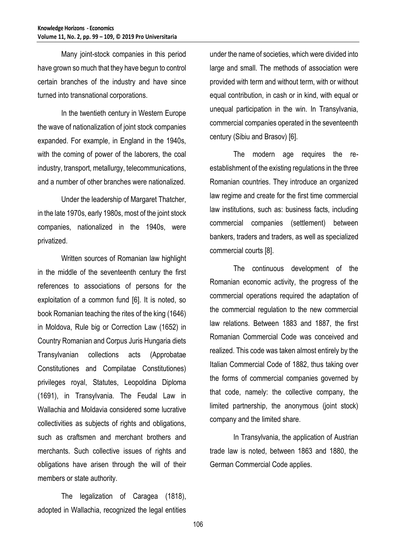Many joint-stock companies in this period have grown so much that they have begun to control certain branches of the industry and have since turned into transnational corporations.

In the twentieth century in Western Europe the wave of nationalization of joint stock companies expanded. For example, in England in the 1940s, with the coming of power of the laborers, the coal industry, transport, metallurgy, telecommunications, and a number of other branches were nationalized.

Under the leadership of Margaret Thatcher, in the late 1970s, early 1980s, most of the joint stock companies, nationalized in the 1940s, were privatized.

Written sources of Romanian law highlight in the middle of the seventeenth century the first references to associations of persons for the exploitation of a common fund [6]. It is noted, so book Romanian teaching the rites of the king (1646) in Moldova, Rule big or Correction Law (1652) in Country Romanian and Corpus Juris Hungaria diets Transylvanian collections acts (Approbatae Constitutiones and Compilatae Constitutiones) privileges royal, Statutes, Leopoldina Diploma (1691), in Transylvania. The Feudal Law in Wallachia and Moldavia considered some lucrative collectivities as subjects of rights and obligations, such as craftsmen and merchant brothers and merchants. Such collective issues of rights and obligations have arisen through the will of their members or state authority.

The legalization of Caragea (1818), adopted in Wallachia, recognized the legal entities under the name of societies, which were divided into large and small. The methods of association were provided with term and without term, with or without equal contribution, in cash or in kind, with equal or unequal participation in the win. In Transylvania, commercial companies operated in the seventeenth century (Sibiu and Brasov) [6].

The modern age requires the reestablishment of the existing regulations in the three Romanian countries. They introduce an organized law regime and create for the first time commercial law institutions, such as: business facts, including commercial companies (settlement) between bankers, traders and traders, as well as specialized commercial courts [8].

The continuous development of the Romanian economic activity, the progress of the commercial operations required the adaptation of the commercial regulation to the new commercial law relations. Between 1883 and 1887, the first Romanian Commercial Code was conceived and realized. This code was taken almost entirely by the Italian Commercial Code of 1882, thus taking over the forms of commercial companies governed by that code, namely: the collective company, the limited partnership, the anonymous (joint stock) company and the limited share.

In Transylvania, the application of Austrian trade law is noted, between 1863 and 1880, the German Commercial Code applies.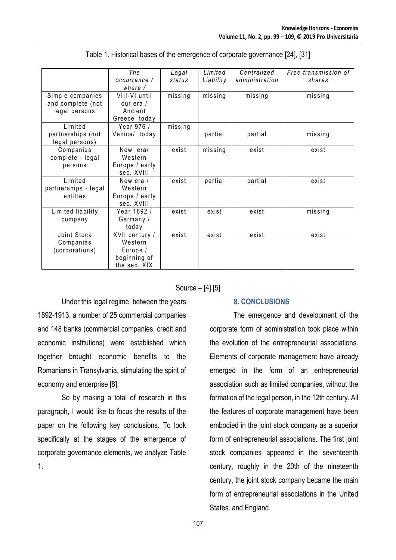|                      | The            | Legal   | Limited   | Centralized    | Free transmission of |
|----------------------|----------------|---------|-----------|----------------|----------------------|
|                      | occurrence /   | status  | Liability | administration | shares               |
|                      | where $/$      |         |           |                |                      |
| Simple companies     | VIII-VI until  | missing | missing   | missing        | missing              |
| and complete (not    | our era /      |         |           |                |                      |
| legal persons        | Ancient        |         |           |                |                      |
|                      | Greece today   |         |           |                |                      |
| Limited              | Year 976 /     | missing |           |                |                      |
| partnerships (not    | Venice/ today  |         | partial   | partial        | missing              |
| legal persons)       |                |         |           |                |                      |
| Companies            | New era/       | exist   | missing   | exist          | exist                |
| complete - legal     | Western        |         |           |                |                      |
| persons              | Europe / early |         |           |                |                      |
|                      | sec. XVIII     |         |           |                |                      |
| Limited              | New era /      | exist   | partial   | partial        | exist                |
| partnerships - legal | Western        |         |           |                |                      |
| entities             | Europe / early |         |           |                |                      |
|                      | sec. XVIII     |         |           |                |                      |
| Limited liability    | Year 1892 /    | exist   | exist     | exist          | missing              |
| company              | Germany /      |         |           |                |                      |
|                      | today          |         |           |                |                      |
| Joint Stock          | XVII century / | exist   | exist     | exist          | exist                |
| Companies            | Western        |         |           |                |                      |
| (corporations)       | Europe /       |         |           |                |                      |
|                      | beginning of   |         |           |                |                      |
|                      | the sec. XIX   |         |           |                |                      |

Table 1. Historical bases of the emergence of corporate governance [24], [31]

Source – [4] [5]

Under this legal regime, between the years 1892-1913, a number of 25 commercial companies and 148 banks (commercial companies, credit and economic institutions) were established which together brought economic benefits to the Romanians in Transylvania, stimulating the spirit of economy and enterprise [8].

So by making a total of research in this paragraph, I would like to focus the results of the paper on the following key conclusions. To look specifically at the stages of the emergence of corporate governance elements, we analyze Table 1.

## **8. CONCLUSIONS**

The emergence and development of the corporate form of administration took place within the evolution of the entrepreneurial associations. Elements of corporate management have already emerged in the form of an entrepreneurial association such as limited companies, without the formation of the legal person, in the 12th century. All the features of corporate management have been embodied in the joint stock company as a superior form of entrepreneurial associations. The first joint stock companies appeared in the seventeenth century, roughly in the 20th of the nineteenth century, the joint stock company became the main form of entrepreneurial associations in the United States. and England.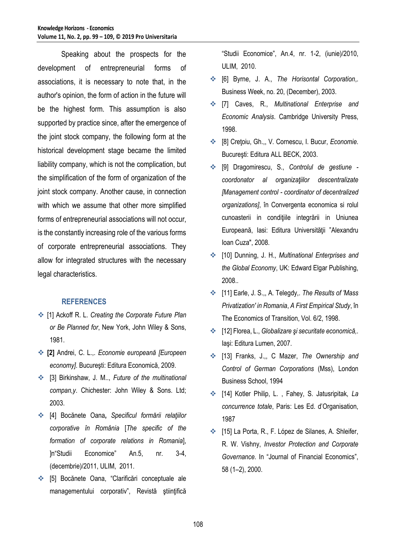Speaking about the prospects for the development of entrepreneurial forms of associations, it is necessary to note that, in the author's opinion, the form of action in the future will be the highest form. This assumption is also supported by practice since, after the emergence of the joint stock company, the following form at the historical development stage became the limited liability company, which is not the complication, but the simplification of the form of organization of the joint stock company. Another cause, in connection with which we assume that other more simplified forms of entrepreneurial associations will not occur, is the constantly increasing role of the various forms of corporate entrepreneurial associations. They allow for integrated structures with the necessary legal characteristics.

## **REFERENCES**

- [1] Ackoff R. L. *Creating the Corporate Future Plan or Be Planned for*, New York, John Wiley & Sons, 1981.
- **[2]** Andrei, C. L.,. *Economie europeană [Europeen economy]*. Bucureşti: Editura Economică, 2009.
- [3] Birkinshaw, J. M.., *Future of the multinational compan,y*. Chichester: John Wiley & Sons. Ltd; 2003.
- [4] Bocănete Oana**,** *Specificul formării relaţiilor corporative în România* [*The specific of the formation of corporate relations in Romania*], ]n"Studii Economice" An.5, nr. 3-4, (decembrie)/2011, ULIM, 2011.
- [5] Bocănete Oana, "Clarificări conceptuale ale managementului corporativ", Revistă ştiinţifică

"Studii Economice", An.4, nr. 1-2, (iunie)/2010, ULIM, 2010.

- [6] Byrne, J. A., *The Horisontal Corporation*,. Business Week, no. 20, (December), 2003.
- [7] Caves, R., *Multinational Enterprise and Economic Analysis*. Cambridge University Press, 1998.
- [8] Creţoiu, Gh.,, V. Cornescu, I. Bucur, *Economie*. Bucureşti: Editura ALL BECK, 2003.
- [9] Dragomirescu, S., *Controlul de gestiune coordonator al organizaţiilor descentralizate [Management control - coordinator of decentralized organizations]*, în Convergenta economica si rolul cunoasterii in condițiile integrării in Uniunea Europeană, Iasi: Editura Universităţii "Alexandru Ioan Cuza", 2008.
- [10] Dunning, J. H., *Multinational Enterprises and the Global Economy*, UK: Edward Elgar Publishing, 2008..
- [11] Earle, J. S.,, A. Telegdy,. *The Results of 'Mass Privatization' in Romania*, *A First Empirical Study*, în The Economics of Transition, Vol. 6/2, 1998.
- [12] Florea, L., *Globalizare şi securitate economică,*. Iaşi: Editura Lumen, 2007.
- [13] Franks, J.,, C Mazer, *The Ownership and Control of German Corporations* (Mss), London Business School, 1994
- [14] Kotler Philip, L. , Fahey, S. Jatusripitak, *La concurrence totale*, Paris: Les Ed. d'Organisation, 1987
- ◆ [15] La Porta, R., F. López de Silanes, A. Shleifer, R. W. Vishny, *Investor Protection and Corporate Governance*. In "Journal of Financial Economics", 58 (1–2), 2000.